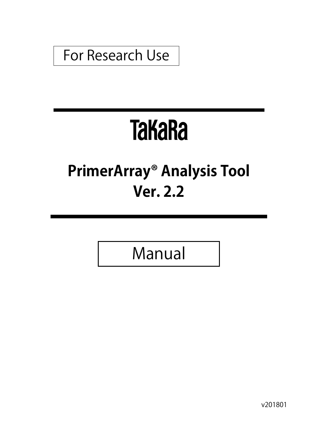## For Research Use

# **TaKaRa**

# **PrimerArray® Analysis Tool Ver. 2.2**

Manual

v201801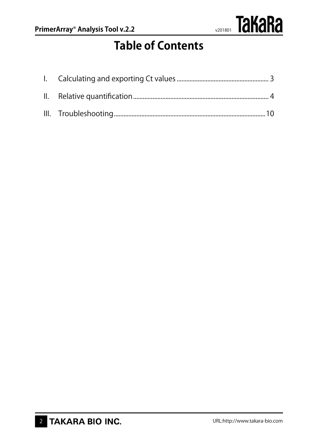

### **Table of Contents**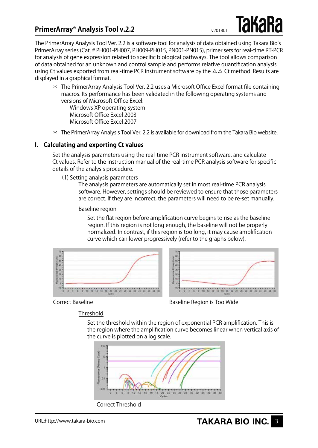The PrimerArray Analysis Tool Ver. 2.2 is a software tool for analysis of data obtained using Takara Bio's PrimerArray series (Cat. # PH001-PH007, PH009-PH015, PN001-PN015), primer sets for real-time RT-PCR for analysis of gene expression related to specific biological pathways. The tool allows comparison of data obtained for an unknown and control sample and performs relative quantification analysis using Ct values exported from real-time PCR instrument software by the  $\Delta\Delta$  Ct method. Results are displayed in a graphical format.

\* The PrimerArray Analysis Tool Ver. 2.2 uses a Microsoft Office Excel format file containing macros. Its performance has been validated in the following operating systems and versions of Microsoft Office Excel:

Windows XP operating system Microsoft Office Excel 2003 Microsoft Office Excel 2007

\* The PrimerArray Analysis Tool Ver. 2.2 is available for download from the Takara Bio website.

#### **I. Calculating and exporting Ct values**

Set the analysis parameters using the real-time PCR instrument software, and calculate Ct values. Refer to the instruction manual of the real-time PCR analysis software for specific details of the analysis procedure.

(1) Setting analysis parameters

The analysis parameters are automatically set in most real-time PCR analysis software. However, settings should be reviewed to ensure that those parameters are correct. If they are incorrect, the parameters will need to be re-set manually.

#### Baseline region

Set the flat region before amplification curve begins to rise as the baseline region. If this region is not long enough, the baseline will not be properly normalized. In contrast, if this region is too long, it may cause amplification curve which can lower progressively (refer to the graphs below).





Correct Baseline **Baseline** Baseline Region is Too Wide

#### Threshold

Set the threshold within the region of exponential PCR amplification. This is the region where the amplification curve becomes linear when vertical axis of the curve is plotted on a log scale.

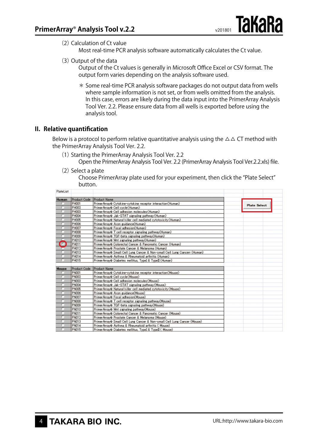$(2)$  Calculation of Ct value

Most real-time PCR analysis software automatically calculates the Ct value.

(3) Output of the data

Output of the Ct values is generally in Microsoft Office Excel or CSV format. The output form varies depending on the analysis software used.

\* Some real-time PCR analysis software packages do not output data from wells where sample information is not set, or from wells omitted from the analysis. In this case, errors are likely during the data input into the PrimerArray Analysis Tool Ver. 2.2. Please ensure data from all wells is exported before using the analysis tool.

#### **II. Relative quantification**

 $100 - 4 = 100 - 4$ 

Below is a protocol to perform relative quantitative analysis using the  $\Delta\Delta$  CT method with the PrimerArray Analysis Tool Ver. 2.2.

(1) Starting the PrimerArray Analysis Tool Ver. 2.2

Open the PrimerArray Analysis Tool Ver. 2.2 (PrimerArray Analysis Tool Ver.2.2.xls) file.

 $(2)$  Select a plate

Choose PrimerArray plate used for your experiment, then click the "Plate Select" button.

| riaustist    |                     |                                                                           |                     |
|--------------|---------------------|---------------------------------------------------------------------------|---------------------|
| Human        | <b>Product Code</b> | <b>Product Name</b>                                                       |                     |
|              | PH001               | PrimerArray® Cytokine-cytokine receptor interaction(Human)                | <b>Plate Select</b> |
|              | PH002               | PrimerArray® Cell cycle(Human)                                            |                     |
|              | PH003               | PrimerArray® Cell adhesion molecules(Human)                               |                     |
|              | PH004               | PrimerArray® Jak-STAT signaling pathway(Human)                            |                     |
|              | PH005               | PrimerArrav® Natural killer cell mediated cytotoxicity (Human)            |                     |
|              | PH006               | PrimerArray® Axon guidance(Human)                                         |                     |
|              | PH007               | PrimerArray® Focal adhesion(Human)                                        |                     |
|              | PH008               | PrimerArray® T cell receptor signaling pathway(Human)                     |                     |
|              | PH009               | PrimerArray® TGF-beta signaling pathway(Human)                            |                     |
|              | PH010               | PrimerArray® Wht signaling pathway(Human)                                 |                     |
| $\bullet$    | PH011               | PrimerArray® Colorectal Cancer & Pancreatic Cancer (Human)                |                     |
|              | PH012               | PrimerArray® Prostate Cancer & Melanoma (Human)                           |                     |
|              | PH013               | PrimerArray® Small Cell Lung Cancer & Non-small Cell Lung Cancerr (Human) |                     |
|              | PH014               | PrimerArray® Asthma & Rheumatoid arthritis (Human)                        |                     |
|              | <b>PH015</b>        | PrimerArray® Diabetes mellitus, TypeI & TypeII (Human)                    |                     |
|              |                     |                                                                           |                     |
| <b>Mouse</b> | Product Code        | <b>Product Name</b>                                                       |                     |
|              | <b>PN001</b>        | PrimerArray® Cytokine-cytokine receptor interaction(Mouse)                |                     |
|              | PN002               | PrimerArray® Cell cycle(Mouse)                                            |                     |
|              | <b>PN003</b>        | PrimerArrav® Cell adhesion molecules(Mouse)                               |                     |
|              | <b>PN004</b>        | PrimerArray® Jak-STAT signaling pathway(Mouse)                            |                     |
|              | <b>PN005</b>        | PrimerArray® Natural killer cell mediated cytotoxicity (Mouse)            |                     |
|              | PN006               | PrimerArray® Axon guidance(Mouse)                                         |                     |
|              | PN007               | PrimerArray® Focal adhesion(Mouse)                                        |                     |
|              | PN008               | PrimerArray® T cell receptor signaling pathway(Mouse)                     |                     |
|              | PN009               | PrimerArray® TGF-beta signaling pathway(Mouse)                            |                     |
|              | PN010               | PrimerArray® Wht signaling pathway(Mouse)                                 |                     |
|              | <b>PN011</b>        | PrimerArray® Colorectal Cancer & Pancreatic Cancer (Mouse)                |                     |
|              | PN012               | PrimerArray® Prostate Cancer & Melanoma (Mouse)                           |                     |
|              | PN013               | PrimerArray® Small Cell Lung Cancer & Non-small Cell Lung Cancer (Mouse)  |                     |
|              | PN014               | PrimerArray® Asthma & Rheumatoid arthritis ( Mouse)                       |                     |
|              | <b>PN015</b>        | PrimerArray® Diabetes mellitus, TypeI & TypeII ( Mouse)                   |                     |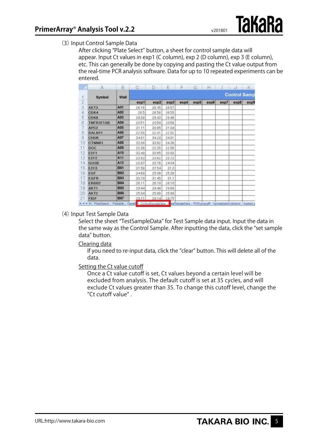#### (3) Input Control Sample Data

After clicking "Plate Select" button, a sheet for control sample data will appear. Input Ct values in exp1 (C column), exp 2 (D column), exp 3 (E column), etc. This can generally be done by copying and pasting the Ct value output from the real-time PCR analysis software. Data for up to 10 repeated experiments can be entered.

|    | А                       | B          | c                | D                 | E.    | F    | G                                                        | н    |                     | J    | Ж.   |  |
|----|-------------------------|------------|------------------|-------------------|-------|------|----------------------------------------------------------|------|---------------------|------|------|--|
|    | Symbol                  | Well       |                  |                   |       |      |                                                          |      | <b>Control Samp</b> |      |      |  |
| 2  |                         |            | exp <sub>1</sub> | exp2              | exp3  | exp4 | exp5                                                     | exp6 | exp7                | exp8 | exp9 |  |
| 3  | AKT3                    | A01        | 26.16            | 26.45             | 26.57 |      |                                                          |      |                     |      |      |  |
| 4  | CDK4                    | A02        | 265              | 26.56             | 26.55 |      |                                                          |      |                     |      |      |  |
| 5  | <b>CDK6</b>             | A03        | 2839             | 28.43             | 28.49 |      |                                                          |      |                     |      |      |  |
| 6  | TNFRSF10B               | A04        | 2051             | 20.58             | 20.56 |      |                                                          |      |                     |      |      |  |
|    | APC <sub>2</sub>        | A05        | 3111             | 30.95             | 31.04 |      |                                                          |      |                     |      |      |  |
| 8  | <b>RALBPI</b>           | AOS        | 22.56            | 22.41             | 22.52 |      |                                                          |      |                     |      |      |  |
| 9  | <b>CHUK</b>             | A07        | 34.61            | 3428              | 34.81 |      |                                                          |      |                     |      |      |  |
| 10 | <b>CTNNB1</b>           | A03        | 33.89            | 3392              | 3436  |      |                                                          |      |                     |      |      |  |
| Ħ  | DCC                     | A09        | 2236             | 2235              | 22.59 |      |                                                          |      |                     |      |      |  |
| 12 | <b>E2F1</b>             | A10        | 33.48            | 33.95             | 33.83 |      |                                                          |      |                     |      |      |  |
| 3  | <b>Ł212</b>             | A11        | 23.63            | 23.62             | 23.72 |      |                                                          |      |                     |      |      |  |
| 4  | GUSB                    | A12        | 23.87            | 23.76             | 24.04 |      |                                                          |      |                     |      |      |  |
| 5  | E <sub>2F3</sub>        | <b>B01</b> | 31.59            | 3154              | 31.3  |      |                                                          |      |                     |      |      |  |
| 16 | EGF                     | <b>B02</b> | 2489             | 25.09             | 25.39 |      |                                                          |      |                     |      |      |  |
| 17 | EGFR                    | <b>B03</b> | 30.78            | 31.45             | 31.1  |      |                                                          |      |                     |      |      |  |
| 8  | ERBB <sub>2</sub>       | <b>B04</b> | 26.11            | 26.18             | 26.18 |      |                                                          |      |                     |      |      |  |
| 19 | <b>AKT1</b>             | <b>B05</b> | 28.44            | 28.46             | 28.66 |      |                                                          |      |                     |      |      |  |
| 20 | AKT <sub>2</sub>        | <b>B06</b> | 25.84            | 25.89             | 25.98 |      |                                                          |      |                     |      |      |  |
| 21 | FIGF                    | <b>B07</b> | 28.11            | 28.14             | 28.15 |      |                                                          |      |                     |      |      |  |
|    | H. L. L. H. PlateSelect | Platefrib  | Genel            | ControlSampleData |       |      | estSanpleCute PCR amount rommization factors , scatter p |      |                     |      |      |  |

#### (4) Input Test Sample Data

Select the sheet "TestSampleData" for Test Sample data input. Input the data in the same way as the Control Sample. After inputting the data, click the "set sample data" button.

#### Clearing data

If you need to re-input data, click the "clear" button. This will delete all of the data.

#### Setting the Ct value cutoff

Once a Ct value cutoff is set, Ct values beyond a certain level will be excluded from analysis. The default cutoff is set at 35 cycles, and will exclude Ct values greater than 35. To change this cutoff level, change the "Ct cutoff value" .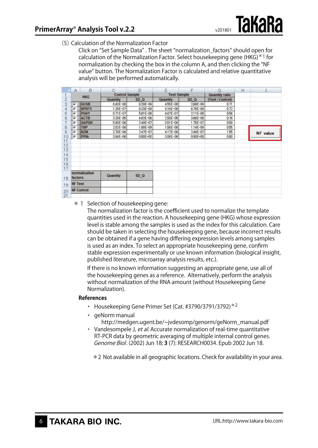(5)Calculation of the Normalization Factor

Click on "Set Sample Data" . The sheet "normalization\_factors" should open for calculation of the Normalization Factor. Select housekeeping gene (HKG) $*1$  for normalization by checking the box in the column A, and then clicking the "NF value" button. The Normalization Factor is calculated and relative quantitative analysis will be performed automatically.

|                | A              | B                 | O                     | D               | F                  | F               | G                     | H |                 |
|----------------|----------------|-------------------|-----------------------|-----------------|--------------------|-----------------|-----------------------|---|-----------------|
|                | <b>HKG</b>     |                   | <b>Control Sample</b> |                 | <b>Test Sample</b> |                 | <b>Quantity ratio</b> |   |                 |
| $\overline{2}$ |                |                   | Quantity              | SD <sub>Q</sub> | <b>Quantity</b>    | SD <sub>Q</sub> | (Test / Control)      |   |                 |
| 3              | ⊽              | <b>GUSB</b>       | 6,43E-08              | 629E-09         | 455E-08            | 268E-09         | 0.71                  |   |                 |
| 4              | ⊽              | <b>HPRT1</b>      | 1.28E-07              | 823E-09         | $9.16E - 08$       | 8.76E-09        | 0.72                  |   |                 |
| 5              | ⊽              | <b>PGK1</b>       | 8.71E-07              | 561E-08         | 487E-07            | 2.11E-08        | 056                   |   |                 |
| 6              | ⊽              | <b>ACTB</b>       | 3.29E-05              | 482E-06         | 250E-05            | 366E-06         | 0.76                  |   |                 |
| 7              | ⊽              | <b>GAPDH</b>      | 5.90E-06              | 249E-07         | 351E-06            | 1.75E-07        | 0.59                  |   |                 |
| 8              | ⊽              | <b>TBP</b>        | $282E - 08$           | 1.68E-09        | 156E-08            | 1.14E-09        | 0.55                  |   |                 |
| 9              | ⊽              | B <sub>2M</sub>   | $2.70E - 06$          | 247E-07         | 4.17E-06           | 246E-07         | 155                   |   | <b>NF</b> value |
| 10             | ⊽              | <b>PPIA</b>       | 384E-06               | 000E+00         | 3.06E-06           | 0.00E+00        | 0.80                  |   |                 |
| 11             |                |                   |                       |                 |                    |                 |                       |   |                 |
| 12             |                |                   |                       |                 |                    |                 |                       |   |                 |
| 13             |                |                   |                       |                 |                    |                 |                       |   |                 |
| 14             |                |                   |                       |                 |                    |                 |                       |   |                 |
| 15             |                |                   |                       |                 |                    |                 |                       |   |                 |
| 16             |                |                   |                       |                 |                    |                 |                       |   |                 |
| 17             |                |                   |                       |                 |                    |                 |                       |   |                 |
|                |                | normalization     | Quantity              | SD <sub>Q</sub> |                    |                 |                       |   |                 |
| 18             | factors        |                   |                       |                 |                    |                 |                       |   |                 |
| 19             | <b>NF Test</b> |                   |                       |                 |                    |                 |                       |   |                 |
| 20             |                | <b>NF Control</b> |                       |                 |                    |                 |                       |   |                 |
| 21             |                |                   |                       |                 |                    |                 |                       |   |                 |

\* 1 Selection of housekeeping gene:

The normalization factor is the coefficient used to normalize the template quantities used in the reaction. A housekeeping gene (HKG) whose expression level is stable among the samples is used as the index for this calculation. Care should be taken in selecting the housekeeping gene, because incorrect results can be obtained if a gene having differing expression levels among samples is used as an index. To select an appropriate housekeeping gene, confirm stable expression experimentally or use known information (biological insight, published literature, microarray analysis results, etc.).

If there is no known information suggesting an appropriate gene, use all of the housekeeping genes as a reference. Alternatively, perform the analysis without normalization of the RNA amount (without Housekeeping Gene Normalization).

#### **References**

- Housekeeping Gene Primer Set (Cat. #3790/3791/3792) $*^2$
- ・ geNorm manual http://medgen.ugent.be/~jvdesomp/genorm/geNorm\_manual.pdf
- Vandesompele J, et al. Accurate normalization of real-time quantitative RT-PCR data by geometric averaging of multiple internal control genes. Genome Biol. (2002) Jun 18; **3** (7): RESEARCH0034. Epub 2002 Jun 18.

\*2 Not available in all geographic locations. Check for availability in your area.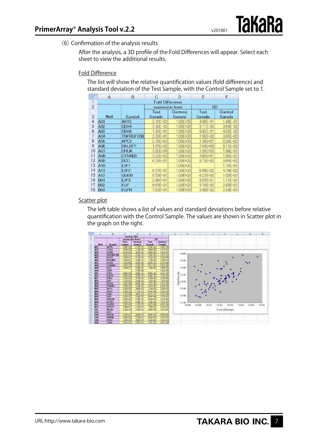(6) Confirmation of the analysis results

After the analysis, a 3D profile of the Fold Differences will appear. Select each sheet to view the additional results.

#### Fold Difference

The list will show the relative quantification values (fold difference) and standard deviation of the Test Sample, with the Control Sample set to 1.

|    | $\mathsf{A}$           | в                | C                | Ð                  | Ε               | F                 |  |
|----|------------------------|------------------|------------------|--------------------|-----------------|-------------------|--|
|    | <b>Fold Difference</b> |                  |                  |                    |                 |                   |  |
| 2  |                        |                  | expression level |                    | SD <sup>3</sup> |                   |  |
| 3  | Well                   | Symbol           | Test<br>Sample   | Contaral<br>Sample | Test<br>Sample  | Control<br>Sample |  |
| 4  | A01                    | AKT3             | 2.31E+00         | 1.00E+00           | 408E-01         | 1.49E-01          |  |
| 5  | A02                    | CDK4             | 3.DEE-02         | 1.00E+00           | 311E-03         | 3.64E 02          |  |
| 6  | A03                    | <b>CDK6</b>      | 1.36E+01         | 100E+00            | 842E-01         | 452E-02           |  |
|    | A04                    | <b>TNFRSF10B</b> | $200E - 01$      | 100E+00            | 156E-02         | $3.81E - 02$      |  |
| 8  | A05                    | AFC2             | 2.76E+02         | 100E+00            | 1386+01         | 626E-02           |  |
| 9  | A06                    | RALBP1           | 1.61E+02         | 1.00E+00           | 754 - 00        | 611E-02           |  |
| 10 | A07                    | <b>CHUK</b>      | 3.66E+04         | 1.00E+00           | 156E+03         | 1.88E-01          |  |
|    | A08                    | CINNEL           | 322E+02          | 1:00E+00           | 466E+01         | 1.85E-01          |  |
| 12 | A09                    | <b>DCC</b>       | 6.07E-01         | 1.00E+00           | 5.73E-02        | $9.84E - 02$      |  |
| 13 | <b>A10</b>             | <b>E2F1</b>      |                  | 1.00E+00           |                 | $172E - 01$       |  |
| 4  | A11                    | E2F2             | 6.51E-01         | 100E+00            | 6986-02         | $478E - 02$       |  |
| 15 | A12                    | <b>GUSB</b>      | 9.55E-01         | 1.00E+00           | 623E-02         | 1.02E-01          |  |
| 16 | <b>BOT</b>             | E <sub>2F3</sub> | 286E+01          | 1.00E+00           | 925E-01         | $1.11E - 01$      |  |
| 17 | <b>B02</b>             | EGF              | 8.65E-01         | 1.00E+00           | 5706-02         | 2.45E-01          |  |
| 18 | <b>B03</b>             | <b>EGFR</b>      | 7.63E-01         | 1.00E+00           | 398E-02         | $2.34E - 01$      |  |

#### Scatter plot

The left table shows a list of values and standard deviations before relative quantification with the Control Sample. The values are shown in Scatter plot in the graph on the right.

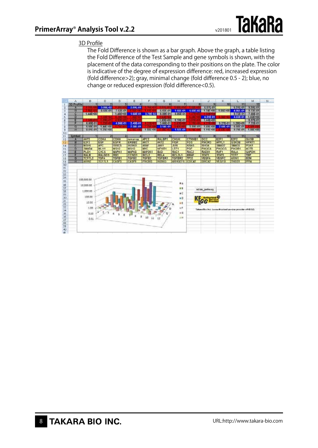

#### 3D Profile

The Fold Difference is shown as a bar graph. Above the graph, a table listing the Fold Difference of the Test Sample and gene symbols is shown, with the placement of the data corresponding to their positions on the plate. The color is indicative of the degree of expression difference: red, increased expression (fold difference>2); gray, minimal change (fold difference 0.5 - 2); blue, no change or reduced expression (fold difference<0.5).

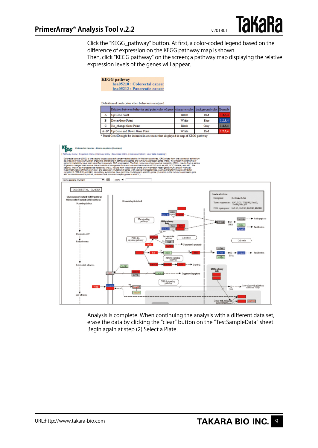Click the "KEGG\_pathway" button. At first, a color-coded legend based on the difference of expression on the KEGG pathway map is shown.

**TakaRa** 

Then, click "KEGG pathway" on the screen; a pathway map displaying the relative expression levels of the genes will appear.

|                                                                                                                                                                                                              |              | <b>KEGG</b> pathway<br>hsa05210 : Colorectal cancer<br>hsa05212 : Pancreatic cancer                                                                                                                                                                                                                                                                                                                                                                                                                                                                                                                                                                                                                                                                                                                                                                                                                                                                                                                                                                                                                                                     |                                                                                |                                       |                                                                                                                                                                                                                                                                                                                                                                                                                                                                                                                                    |
|--------------------------------------------------------------------------------------------------------------------------------------------------------------------------------------------------------------|--------------|-----------------------------------------------------------------------------------------------------------------------------------------------------------------------------------------------------------------------------------------------------------------------------------------------------------------------------------------------------------------------------------------------------------------------------------------------------------------------------------------------------------------------------------------------------------------------------------------------------------------------------------------------------------------------------------------------------------------------------------------------------------------------------------------------------------------------------------------------------------------------------------------------------------------------------------------------------------------------------------------------------------------------------------------------------------------------------------------------------------------------------------------|--------------------------------------------------------------------------------|---------------------------------------|------------------------------------------------------------------------------------------------------------------------------------------------------------------------------------------------------------------------------------------------------------------------------------------------------------------------------------------------------------------------------------------------------------------------------------------------------------------------------------------------------------------------------------|
|                                                                                                                                                                                                              |              | Definition of node color when behavior is analyzed                                                                                                                                                                                                                                                                                                                                                                                                                                                                                                                                                                                                                                                                                                                                                                                                                                                                                                                                                                                                                                                                                      |                                                                                |                                       |                                                                                                                                                                                                                                                                                                                                                                                                                                                                                                                                    |
|                                                                                                                                                                                                              |              | Relation between behavior and point color of gene                                                                                                                                                                                                                                                                                                                                                                                                                                                                                                                                                                                                                                                                                                                                                                                                                                                                                                                                                                                                                                                                                       | character color                                                                | background color                      | Example                                                                                                                                                                                                                                                                                                                                                                                                                                                                                                                            |
|                                                                                                                                                                                                              | А            | Up Gene Point                                                                                                                                                                                                                                                                                                                                                                                                                                                                                                                                                                                                                                                                                                                                                                                                                                                                                                                                                                                                                                                                                                                           | <b>Black</b>                                                                   | Red                                   | 1,2,3,4                                                                                                                                                                                                                                                                                                                                                                                                                                                                                                                            |
|                                                                                                                                                                                                              | в            | Down Gene Point                                                                                                                                                                                                                                                                                                                                                                                                                                                                                                                                                                                                                                                                                                                                                                                                                                                                                                                                                                                                                                                                                                                         | White                                                                          | Blue                                  | 1.2.3.4                                                                                                                                                                                                                                                                                                                                                                                                                                                                                                                            |
|                                                                                                                                                                                                              | c            | No change Gene Point                                                                                                                                                                                                                                                                                                                                                                                                                                                                                                                                                                                                                                                                                                                                                                                                                                                                                                                                                                                                                                                                                                                    | <b>Black</b>                                                                   | Grav                                  | 1.2.3.4                                                                                                                                                                                                                                                                                                                                                                                                                                                                                                                            |
|                                                                                                                                                                                                              | $A + B^*$    | Up Gene and Down Gene Point                                                                                                                                                                                                                                                                                                                                                                                                                                                                                                                                                                                                                                                                                                                                                                                                                                                                                                                                                                                                                                                                                                             | White                                                                          | Red                                   | 1.2.3.4                                                                                                                                                                                                                                                                                                                                                                                                                                                                                                                            |
|                                                                                                                                                                                                              |              | * Plural GeneID might be included in one node that displayed in map of KEGG pathway                                                                                                                                                                                                                                                                                                                                                                                                                                                                                                                                                                                                                                                                                                                                                                                                                                                                                                                                                                                                                                                     |                                                                                |                                       |                                                                                                                                                                                                                                                                                                                                                                                                                                                                                                                                    |
| Colorectal cancer - Homo saplens (human)                                                                                                                                                                     |              | [ Pathway menu   Organism menu   Pathway entry   Download KGML   Hide description   User data mapping ]<br>Colorectal cancer (CRC) is the second largest cause of cancer-related deaths in Western countries. CRC arises from the colorectal epithelium<br>as a result of the accumulation of genetic alterations in defined oncogenes and tumour suppressor genes (TBG). Two major mechanisms of<br>genomic instability have been identified in sporadic CRC progression. The first, known<br>of genetic changes that involve the activation of oncogenes such as K-ras and inactivation of TSG such as p33, DCC/3mad4, and APC. The<br>second, known as microsatellite instability (HSI), results from inactivation of the DNA mismatch repair genes MLH1 and/or MSH2 by<br>hypermethylation of their promoter, and secondary mutation of genes with coding microsatellites, such as transforming growth factor<br>réceptor II (TOP-RII) and BAX. Meréditary syncromes have germinne mutations in specific genes (mutation in the tumour suppressor gene<br>APC on chromosome 3q in FAP, mutated DNA mismatch repair genes in MMPCC). |                                                                                |                                       |                                                                                                                                                                                                                                                                                                                                                                                                                                                                                                                                    |
| Homo sapiens (human)                                                                                                                                                                                         | $ -$         | 100% -                                                                                                                                                                                                                                                                                                                                                                                                                                                                                                                                                                                                                                                                                                                                                                                                                                                                                                                                                                                                                                                                                                                                  |                                                                                |                                       |                                                                                                                                                                                                                                                                                                                                                                                                                                                                                                                                    |
| <b>COLORECTAL CANCER</b><br>Chromosome Unstable (CDV) padmay<br>Microestelite Unstable (MSI) patiency<br>Normal optikelium<br>Dysplanic ACF<br>Estrainana<br>Istressistrations<br>۰<br>TO BE<br>Laboratorius | <b>CENTS</b> | Colesortal epithelial only<br>Azz<br>Wat signaling<br>MSI patkang<br>patiency<br>AK)<br>Pro-spoptatic<br>professor<br>PER AH<br>signaling pathway<br><b>Bull</b><br>$\mathbb{P}_{\mathbf{p}}$<br>Milk<br>MATX signalize<br>CAST3<br>CASES -<br>AFPL<br>TUF-I signaling<br>pulsiver                                                                                                                                                                                                                                                                                                                                                                                                                                                                                                                                                                                                                                                                                                                                                                                                                                                      | Abriphere<br><sup>2</sup> Suppressed apoptocia<br>$--- +$ Suppressed operators | Curogenes<br>+ Suvani<br>MSI patloray | longite alterations<br>B-cuttain, K-Ran<br>APC, DCC, TOPHRIL Small,<br>Small, Bar, phil<br>Топосе актуениясять<br>TOILERI, TOISTEZ, TOISTEZ, TOISTEK<br>DNA repair gener :<br>> Ant-quetosis<br>Surviving<br>$+0-1$<br>FICTLE<br>DNA<br>c-Myc<br>+ Preliferation<br><b>Debit</b><br>Call costs<br>c/m<br>$-0$ $-0$ (with $-$<br>-- > Pelifenion<br><b>ESIA</b><br>$-34\pi$<br>$\bullet$ o $---\bullet$ $\frac{\text{Low} \times \text{growth}}{\text{close} \times \text{m} \times \text{b}}$<br>DNA<br>Genes with coding (2)<br>۰ |

Analysis is complete. When continuing the analysis with a different data set, erase the data by clicking the "clear" button on the "TestSampleData" sheet. Begin again at step (2) Select a Plate.